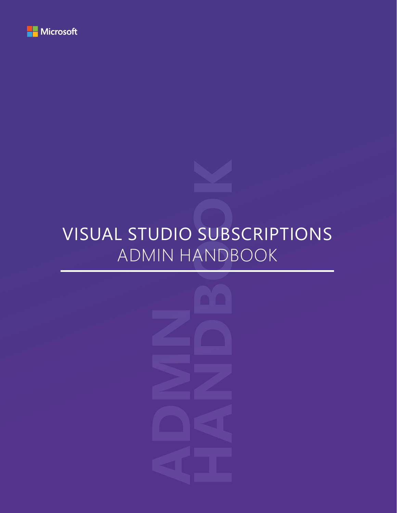

## VISUAL STUDIO SUBSCRIPTIONS ADMIN HANDBOOK

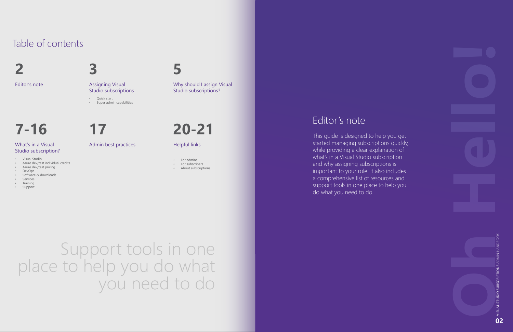# Support tools in one place to help you do what you need to do

## Table of contents

**[7-16](#page-4-0)**

**[3](#page-2-0)**

# **[17](#page-9-0)**



**2** Editor's note

**[20-21](#page-10-0)**

#### What's in a Visual Studio subscription?

Assigning Visual Studio subscriptions

#### Admin best practices

Why should I assign Visual Studio subscriptions?

Helpful links

## Editor's note

- For admins
	- For subscribers

This guide is designed to help you get started managing subscriptions quickly, while providing a clear explanation of what's in a Visual Studio subscription and why assigning subscriptions is important to your role. It also includes a comprehensive list of resources and support tools in one place to help you do what you need to do.

- 
- Visual Studio Azure dev/test individual credits Azure dev/test pricing
- 
- 
- DevOps Software & downloads Services Training Support
- 
- 
- 

• About subscriptions

• Quick start • Super admin capabilities

> VISUAL STUDIO SUBSCRIPTIONS ADMIN HANDBOOK VISUAL STUDIO SUBSCRIPTIONS ADMIN HANDBOO **02**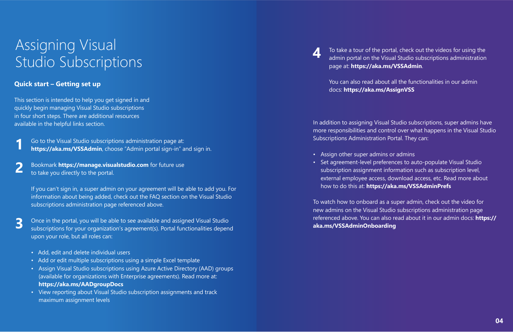## <span id="page-2-0"></span>Assigning Visual Studio Subscriptions

#### **Quick start – Getting set up**

This section is intended to help you get signed in and quickly begin managing Visual Studio subscriptions in four short steps. There are additional resources available in the helpful links section.

> If you can't sign in, a super admin on your agreement will be able to add you. For information about being added, check out the FAQ section on the Visual Studio subscriptions administration page referenced above.

Go to the Visual Studio subscriptions administration page at: **<https://aka.ms/VSSAdmin>**, choose "Admin portal sign-in" and sign in. **1**

Once in the portal, you will be able to see available and assigned Visual Studio subscriptions for your organization's agreement(s). Portal functionalities depend upon your role, but all roles can:

Bookmark **<https://manage.visualstudio.com>** for future use to take you directly to the portal. **2**

- Add, edit and delete individual users
- Add or edit multiple subscriptions using a simple Excel template
- Assign Visual Studio subscriptions using Azure Active Directory (AAD) groups (available for organizations with Enterprise agreements). Read more at: **<https://aka.ms/AADgroupDocs>**
- View reporting about Visual Studio subscription assignments and track maximum assignment levels



**3**

page at: **<https://aka.ms/VSSAdmin>**.

You can also read about all the functionalities in our admin docs: **<https://aka.ms/AssignVSS>**

In addition to assigning Visual Studio subscriptions, super admins have more responsibilities and control over what happens in the Visual Studio Subscriptions Administration Portal. They can:

- Assign other super admins or admins
- 

• Set agreement-level preferences to auto-populate Visual Studio subscription assignment information such as subscription level, external employee access, download access, etc. Read more about how to do this at: **<https://aka.ms/VSSAdminPrefs>** 

To watch how to onboard as a super admin, check out the video for new admins on the Visual Studio subscriptions administration page referenced above. You can also read about it in our admin docs: **[https://](https://aka.ms/VSSAdminOnboarding) [aka.ms/VSSAdminOnboarding](https://aka.ms/VSSAdminOnboarding)** 

# To take a tour of the portal, check out the videos for using the admin portal on the Visual Studio subscriptions administration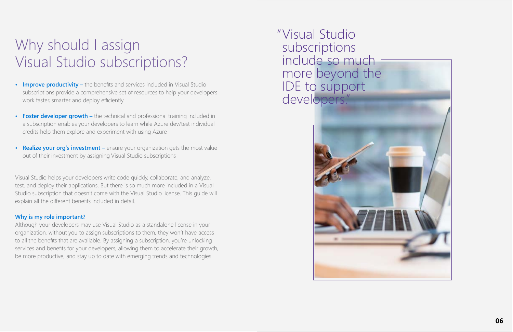# <span id="page-3-0"></span>Why should I assign Visual Studio subscriptions?

Visual Studio " subscriptions include so much more beyond the IDE to support developers."



- **• Improve productivity** the benefits and services included in Visual Studio subscriptions provide a comprehensive set of resources to help your developers work faster, smarter and deploy efficiently
- **• Foster developer growth** the technical and professional training included in a subscription enables your developers to learn while Azure dev/test individual credits help them explore and experiment with using Azure
- **Realize your org's investment** ensure your organization gets the most value out of their investment by assigning Visual Studio subscriptions

Visual Studio helps your developers write code quickly, collaborate, and analyze, test, and deploy their applications. But there is so much more included in a Visual Studio subscription that doesn't come with the Visual Studio license. This guide will explain all the different benefits included in detail.

#### **Why is my role important?**

Although your developers may use Visual Studio as a standalone license in your organization, without you to assign subscriptions to them, they won't have access to all the benefits that are available. By assigning a subscription, you're unlocking services and benefits for your developers, allowing them to accelerate their growth, be more productive, and stay up to date with emerging trends and technologies.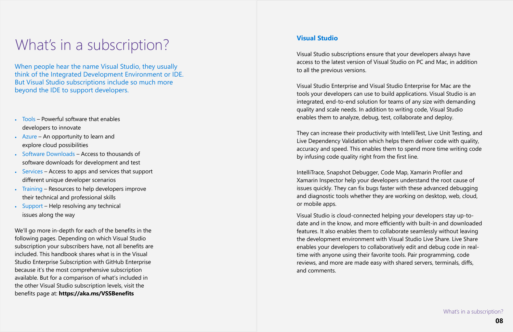## <span id="page-4-0"></span>What's in a subscription?

When people hear the name Visual Studio, they usually think of the Integrated Development Environment or IDE. But Visual Studio subscriptions include so much more beyond the IDE to support developers.

- Tools Powerful software that enables developers to innovate
- Azure An opportunity to learn and explore cloud possibilities
- Software Downloads Access to thousands of software downloads for development and test
- Services Access to apps and services that support different unique developer scenarios
- Training Resources to help developers improve their technical and professional skills
- Support Help resolving any technical issues along the way

We'll go more in-depth for each of the benefits in the following pages. Depending on which Visual Studio subscription your subscribers have, not all benefits are included. This handbook shares what is in the Visual Studio Enterprise Subscription with GitHub Enterprise because it's the most comprehensive subscription available. But for a comparison of what's included in the other Visual Studio subscription levels, visit the benefits page at: **<https://aka.ms/VSSBenefits>** 

#### **Visual Studio**

Visual Studio subscriptions ensure that your developers always have access to the latest version of Visual Studio on PC and Mac, in addition to all the previous versions.

Visual Studio Enterprise and Visual Studio Enterprise for Mac are the tools your developers can use to build applications. Visual Studio is an integrated, end-to-end solution for teams of any size with demanding quality and scale needs. In addition to writing code, Visual Studio enables them to analyze, debug, test, collaborate and deploy.

They can increase their productivity with IntelliTest, Live Unit Testing, and Live Dependency Validation which helps them deliver code with quality, accuracy and speed. This enables them to spend more time writing code by infusing code quality right from the first line.

IntelliTrace, Snapshot Debugger, Code Map, Xamarin Profiler and Xamarin Inspector help your developers understand the root cause of issues quickly. They can fix bugs faster with these advanced debugging and diagnostic tools whether they are working on desktop, web, cloud, or mobile apps.

Visual Studio is cloud-connected helping your developers stay up-todate and in the know, and more efficiently with built-in and downloaded features. It also enables them to collaborate seamlessly without leaving the development environment with Visual Studio Live Share. Live Share enables your developers to collaboratively edit and debug code in realtime with anyone using their favorite tools. Pair programming, code reviews, and more are made easy with shared servers, terminals, diffs, and comments.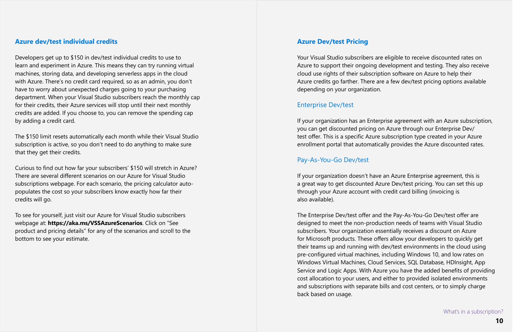#### **Azure dev/test individual credits**

Developers get up to \$150 in dev/test individual credits to use to learn and experiment in Azure. This means they can try running virtual machines, storing data, and developing serverless apps in the cloud with Azure. There's no credit card required, so as an admin, you don't have to worry about unexpected charges going to your purchasing department. When your Visual Studio subscribers reach the monthly cap for their credits, their Azure services will stop until their next monthly credits are added. If you choose to, you can remove the spending cap by adding a credit card.

The \$150 limit resets automatically each month while their Visual Studio subscription is active, so you don't need to do anything to make sure that they get their credits.

Curious to find out how far your subscribers' \$150 will stretch in Azure? There are several different scenarios on our Azure for Visual Studio subscriptions webpage. For each scenario, the pricing calculator autopopulates the cost so your subscribers know exactly how far their credits will go.

To see for yourself, just visit our Azure for Visual Studio subscribers webpage at: **<https://aka.ms/VSSAzureScenarios>**. Click on "See product and pricing details" for any of the scenarios and scroll to the bottom to see your estimate.

#### **Azure Dev/test Pricing**

Your Visual Studio subscribers are eligible to receive discounted rates on Azure to support their ongoing development and testing. They also receive cloud use rights of their subscription software on Azure to help their Azure credits go farther. There are a few dev/test pricing options available depending on your organization.

#### Enterprise Dev/test

If your organization has an Enterprise agreement with an Azure subscription, you can get discounted pricing on Azure through our Enterprise Dev/ test offer. This is a specific Azure subscription type created in your Azure enrollment portal that automatically provides the Azure discounted rates.

#### Pay-As-You-Go Dev/test

If your organization doesn't have an Azure Enterprise agreement, this is a great way to get discounted Azure Dev/test pricing. You can set this up through your Azure account with credit card billing (invoicing is also available).

The Enterprise Dev/test offer and the Pay-As-You-Go Dev/test offer are designed to meet the non-production needs of teams with Visual Studio subscribers. Your organization essentially receives a discount on Azure for Microsoft products. These offers allow your developers to quickly get their teams up and running with dev/test environments in the cloud using pre-configured virtual machines, including Windows 10, and low rates on Windows Virtual Machines, Cloud Services, SQL Database, HDInsight, App Service and Logic Apps. With Azure you have the added benefits of providing cost allocation to your users, and either to provided isolated environments and subscriptions with separate bills and cost centers, or to simply charge back based on usage.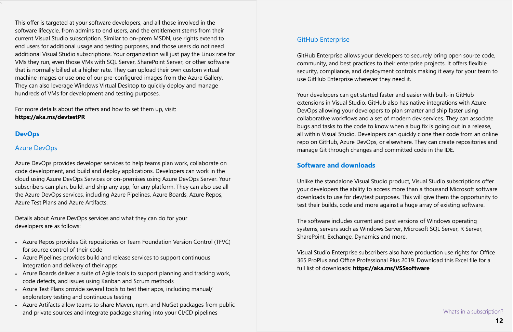v

This offer is targeted at your software developers, and all those involved in the software lifecycle, from admins to end users, and the entitlement stems from their current Visual Studio subscription. Similar to on-prem MSDN, use rights extend to end users for additional usage and testing purposes, and those users do not need additional Visual Studio subscriptions. Your organization will just pay the Linux rate for VMs they run, even those VMs with SQL Server, SharePoint Server, or other software that is normally billed at a higher rate. They can upload their own custom virtual machine images or use one of our pre-configured images from the Azure Gallery. They can also leverage Windows Virtual Desktop to quickly deploy and manage hundreds of VMs for development and testing purposes.

For more details about the offers and how to set them up, visit: **<https://aka.ms/devtestPR>**

#### GitHub Enterprise

GitHub Enterprise allows your developers to securely bring open source code, community, and best practices to their enterprise projects. It offers flexible security, compliance, and deployment controls making it easy for your team to use GitHub Enterprise wherever they need it.

Your developers can get started faster and easier with built-in GitHub extensions in Visual Studio. GitHub also has native integrations with Azure DevOps allowing your developers to plan smarter and ship faster using collaborative workflows and a set of modern dev services. They can associate bugs and tasks to the code to know when a bug fix is going out in a release, all within Visual Studio. Developers can quickly clone their code from an online repo on GitHub, Azure DevOps, or elsewhere. They can create repositories and manage Git through changes and committed code in the IDE.

- Azure Repos provides Git repositories or Team Foundation Version Control (TFVC) for source control of their code
- Azure Pipelines provides build and release services to support continuous integration and delivery of their apps
- Azure Boards deliver a suite of Agile tools to support planning and tracking work, code defects, and issues using Kanban and Scrum methods
- Azure Test Plans provide several tools to test their apps, including manual/ exploratory testing and continuous testing
- Azure Artifacts allow teams to share Maven, npm, and NuGet packages from public and private sources and integrate package sharing into your CI/CD pipelines and the state of the state of the subscription?

#### **Software and downloads**

Unlike the standalone Visual Studio product, Visual Studio subscriptions offer your developers the ability to access more than a thousand Microsoft software downloads to use for dev/test purposes. This will give them the opportunity to test their builds, code and more against a huge array of existing software.

The software includes current and past versions of Windows operating systems, servers such as Windows Server, Microsoft SQL Server, R Server, SharePoint, Exchange, Dynamics and more.

Visual Studio Enterprise subscribers also have production use rights for Office 365 ProPlus and Office Professional Plus 2019. Download this Excel file for a full list of downloads: **<https://aka.ms/VSSsoftware>**

#### **DevOps**

#### Azure DevOps

Azure DevOps provides developer services to help teams plan work, collaborate on code development, and build and deploy applications. Developers can work in the cloud using Azure DevOps Services or on-premises using Azure DevOps Server. Your subscribers can plan, build, and ship any app, for any platform. They can also use all the Azure DevOps services, including Azure Pipelines, Azure Boards, Azure Repos, Azure Test Plans and Azure Artifacts.

Details about Azure DevOps services and what they can do for your developers are as follows: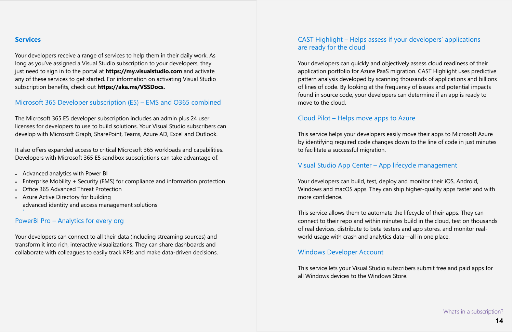#### **Services**

Your developers receive a range of services to help them in their daily work. As long as you've assigned a Visual Studio subscription to your developers, they just need to sign in to the portal at **<https://my.visualstudio.com>** and activate any of these services to get started. For information on activating Visual Studio subscription benefits, check out **[https://aka.ms/VSSDocs.](https://aka.ms/VSSDocs)**

#### Microsoft 365 Developer subscription (E5) – EMS and O365 combined

The Microsoft 365 E5 developer subscription includes an admin plus 24 user licenses for developers to use to build solutions. Your Visual Studio subscribers can develop with Microsoft Graph, SharePoint, Teams, Azure AD, Excel and Outlook.

It also offers expanded access to critical Microsoft 365 workloads and capabilities. Developers with Microsoft 365 E5 sandbox subscriptions can take advantage of:

- Advanced analytics with Power BI
- Enterprise Mobility + Security (EMS) for compliance and information protection
- Office 365 Advanced Threat Protection
- Azure Active Directory for building advanced identity and access management solutions `

#### PowerBI Pro – Analytics for every org

Your developers can connect to all their data (including streaming sources) and transform it into rich, interactive visualizations. They can share dashboards and collaborate with colleagues to easily track KPIs and make data-driven decisions.

## CAST Highlight – Helps assess if your developers' applications are ready for the cloud

Your developers can quickly and objectively assess cloud readiness of their application portfolio for Azure PaaS migration. CAST Highlight uses predictive pattern analysis developed by scanning thousands of applications and billions of lines of code. By looking at the frequency of issues and potential impacts found in source code, your developers can determine if an app is ready to move to the cloud.

#### Cloud Pilot – Helps move apps to Azure

This service helps your developers easily move their apps to Microsoft Azure by identifying required code changes down to the line of code in just minutes to facilitate a successful migration.

#### Visual Studio App Center – App lifecycle management

Your developers can build, test, deploy and monitor their iOS, Android, Windows and macOS apps. They can ship higher-quality apps faster and with more confidence.

This service allows them to automate the lifecycle of their apps. They can connect to their repo and within minutes build in the cloud, test on thousands of real devices, distribute to beta testers and app stores, and monitor realworld usage with crash and analytics data—all in one place.

#### Windows Developer Account

This service lets your Visual Studio subscribers submit free and paid apps for all Windows devices to the Windows Store.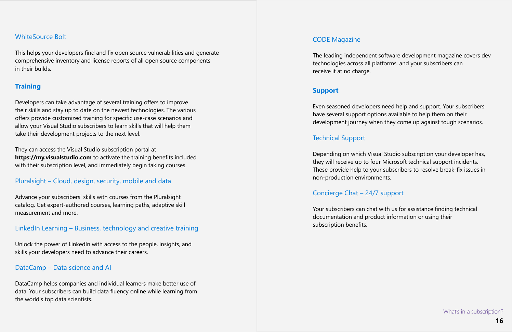#### **Training**

Developers can take advantage of several training offers to improve their skills and stay up to date on the newest technologies. The various offers provide customized training for specific use-case scenarios and allow your Visual Studio subscribers to learn skills that will help them take their development projects to the next level.

They can access the Visual Studio subscription portal at **<https://my.visualstudio.com>** to activate the training benefits included with their subscription level, and immediately begin taking courses.

#### Pluralsight – Cloud, design, security, mobile and data

Advance your subscribers' skills with courses from the Pluralsight catalog. Get expert-authored courses, learning paths, adaptive skill measurement and more.

LinkedIn Learning – Business, technology and creative training

Unlock the power of LinkedIn with access to the people, insights, and skills your developers need to advance their careers.

#### DataCamp – Data science and AI

DataCamp helps companies and individual learners make better use of data. Your subscribers can build data fluency online while learning from the world's top data scientists.

## **Support**

Even seasoned developers need help and support. Your subscribers have several support options available to help them on their development journey when they come up against tough scenarios.

#### Technical Support

Depending on which Visual Studio subscription your developer has, they will receive up to four Microsoft technical support incidents. These provide help to your subscribers to resolve break-fix issues in non-production environments.

## Concierge Chat – 24/7 support

Your subscribers can chat with us for assistance finding technical documentation and product information or using their subscription benefits.

#### WhiteSource Bolt

This helps your developers find and fix open source vulnerabilities and generate comprehensive inventory and license reports of all open source components in their builds.

#### CODE Magazine

#### The leading independent software development magazine covers dev technologies across all platforms, and your subscribers can

receive it at no charge.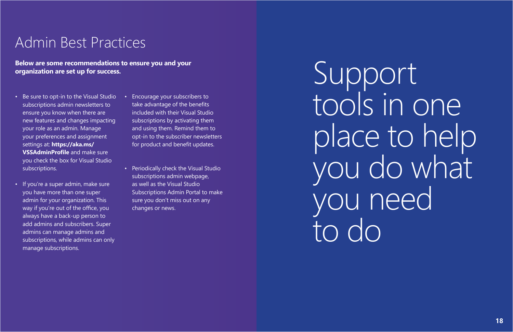## <span id="page-9-0"></span>Admin Best Practices

- Be sure to opt-in to the Visual Studio subscriptions admin newsletters to ensure you know when there are new features and changes impacting your role as an admin. Manage your preferences and assignment settings at: **[https://aka.ms/](https://aka.ms/VSSAdminProfile) [VSSAdminProfile](https://aka.ms/VSSAdminProfile)** and make sure you check the box for Visual Studio subscriptions.
- If you're a super admin, make sure you have more than one super admin for your organization. This way if you're out of the office, you always have a back-up person to add admins and subscribers. Super admins can manage admins and subscriptions, while admins can only manage subscriptions.

• Encourage your subscribers to take advantage of the benefits included with their Visual Studio subscriptions by activating them and using them. Remind them to opt-in to the subscriber newsletters for product and benefit updates.

• Periodically check the Visual Studio subscriptions admin webpage, as well as the Visual Studio Subscriptions Admin Portal to make sure you don't miss out on any changes or news.

**Below are some recommendations to ensure you and your organization are set up for success.** 

# tools in one place to help you do what

Support you need to do